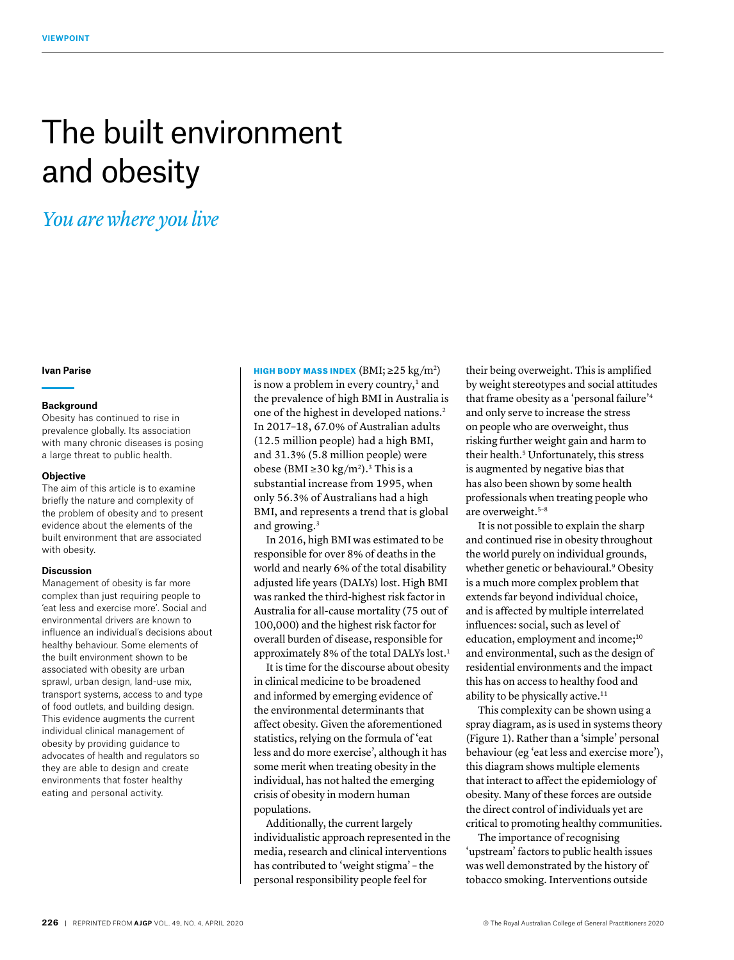# The built environment and obesity

# *You are where you live*

# **Ivan Parise**

#### **Background**

Obesity has continued to rise in prevalence globally. Its association with many chronic diseases is posing a large threat to public health.

#### **Objective**

The aim of this article is to examine briefly the nature and complexity of the problem of obesity and to present evidence about the elements of the built environment that are associated with obesity.

### **Discussion**

Management of obesity is far more complex than just requiring people to 'eat less and exercise more'. Social and environmental drivers are known to influence an individual's decisions about healthy behaviour. Some elements of the built environment shown to be associated with obesity are urban sprawl, urban design, land-use mix, transport systems, access to and type of food outlets, and building design. This evidence augments the current individual clinical management of obesity by providing guidance to advocates of health and regulators so they are able to design and create environments that foster healthy eating and personal activity.

HIGH BODY MASS INDEX  $(BMI; \geq 25 \text{ kg/m}^2)$ is now a problem in every country, $<sup>1</sup>$  and</sup> the prevalence of high BMI in Australia is one of the highest in developed nations.2 In 2017–18, 67.0% of Australian adults (12.5 million people) had a high BMI, and 31.3% (5.8 million people) were obese (BMI ≥30 kg/m<sup>2</sup>).<sup>3</sup> This is a substantial increase from 1995, when only 56.3% of Australians had a high BMI, and represents a trend that is global and growing.3

In 2016, high BMI was estimated to be responsible for over 8% of deaths in the world and nearly 6% of the total disability adjusted life years (DALYs) lost. High BMI was ranked the third-highest risk factor in Australia for all-cause mortality (75 out of 100,000) and the highest risk factor for overall burden of disease, responsible for approximately 8% of the total DALYs lost.1

It is time for the discourse about obesity in clinical medicine to be broadened and informed by emerging evidence of the environmental determinants that affect obesity. Given the aforementioned statistics, relying on the formula of 'eat less and do more exercise', although it has some merit when treating obesity in the individual, has not halted the emerging crisis of obesity in modern human populations.

Additionally, the current largely individualistic approach represented in the media, research and clinical interventions has contributed to 'weight stigma' – the personal responsibility people feel for

their being overweight. This is amplified by weight stereotypes and social attitudes that frame obesity as a 'personal failure'4 and only serve to increase the stress on people who are overweight, thus risking further weight gain and harm to their health.<sup>5</sup> Unfortunately, this stress is augmented by negative bias that has also been shown by some health professionals when treating people who are overweight.5–8

It is not possible to explain the sharp and continued rise in obesity throughout the world purely on individual grounds, whether genetic or behavioural.<sup>9</sup> Obesity is a much more complex problem that extends far beyond individual choice, and is affected by multiple interrelated influences: social, such as level of education, employment and income;<sup>10</sup> and environmental, such as the design of residential environments and the impact this has on access to healthy food and ability to be physically active.<sup>11</sup>

This complexity can be shown using a spray diagram, as is used in systems theory (Figure 1). Rather than a 'simple' personal behaviour (eg 'eat less and exercise more'), this diagram shows multiple elements that interact to affect the epidemiology of obesity. Many of these forces are outside the direct control of individuals yet are critical to promoting healthy communities.

The importance of recognising 'upstream' factors to public health issues was well demonstrated by the history of tobacco smoking. Interventions outside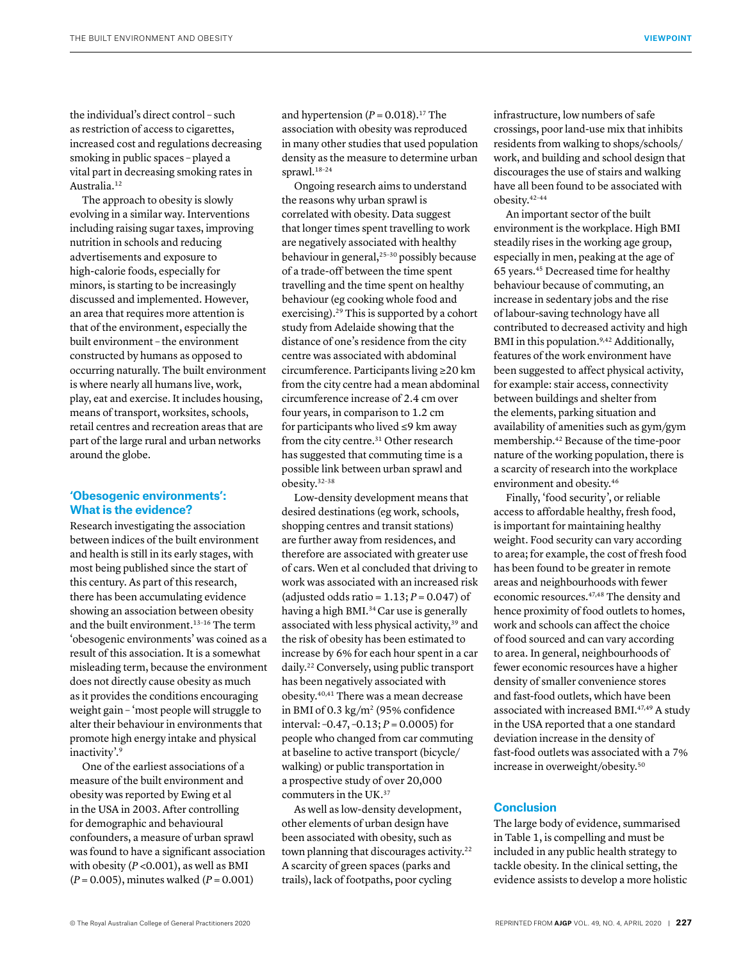the individual's direct control – such as restriction of access to cigarettes, increased cost and regulations decreasing smoking in public spaces – played a vital part in decreasing smoking rates in Australia.12

The approach to obesity is slowly evolving in a similar way. Interventions including raising sugar taxes, improving nutrition in schools and reducing advertisements and exposure to high-calorie foods, especially for minors, is starting to be increasingly discussed and implemented. However, an area that requires more attention is that of the environment, especially the built environment – the environment constructed by humans as opposed to occurring naturally. The built environment is where nearly all humans live, work, play, eat and exercise. It includes housing, means of transport, worksites, schools, retail centres and recreation areas that are part of the large rural and urban networks around the globe.

## **'Obesogenic environments': What is the evidence?**

Research investigating the association between indices of the built environment and health is still in its early stages, with most being published since the start of this century. As part of this research, there has been accumulating evidence showing an association between obesity and the built environment.13–16 The term 'obesogenic environments' was coined as a result of this association. It is a somewhat misleading term, because the environment does not directly cause obesity as much as it provides the conditions encouraging weight gain – 'most people will struggle to alter their behaviour in environments that promote high energy intake and physical inactivity'.9

One of the earliest associations of a measure of the built environment and obesity was reported by Ewing et al in the USA in 2003. After controlling for demographic and behavioural confounders, a measure of urban sprawl was found to have a significant association with obesity (*P* <0.001), as well as BMI (*P* = 0.005), minutes walked (*P* = 0.001)

and hypertension  $(P = 0.018).$ <sup>17</sup> The association with obesity was reproduced in many other studies that used population density as the measure to determine urban sprawl.18–24

Ongoing research aims to understand the reasons why urban sprawl is correlated with obesity. Data suggest that longer times spent travelling to work are negatively associated with healthy behaviour in general,<sup>25-30</sup> possibly because of a trade-off between the time spent travelling and the time spent on healthy behaviour (eg cooking whole food and exercising).29 This is supported by a cohort study from Adelaide showing that the distance of one's residence from the city centre was associated with abdominal circumference. Participants living ≥20 km from the city centre had a mean abdominal circumference increase of 2.4 cm over four years, in comparison to 1.2 cm for participants who lived ≤9 km away from the city centre.<sup>31</sup> Other research has suggested that commuting time is a possible link between urban sprawl and obesity.32–38

Low-density development means that desired destinations (eg work, schools, shopping centres and transit stations) are further away from residences, and therefore are associated with greater use of cars. Wen et al concluded that driving to work was associated with an increased risk (adjusted odds ratio =  $1.13$ ;  $P = 0.047$ ) of having a high BMI.<sup>34</sup> Car use is generally associated with less physical activity,<sup>39</sup> and the risk of obesity has been estimated to increase by 6% for each hour spent in a car daily.22 Conversely, using public transport has been negatively associated with obesity.40,41 There was a mean decrease in BMI of 0.3 kg/m<sup>2</sup> (95% confidence interval: –0.47, –0.13; *P* = 0.0005) for people who changed from car commuting at baseline to active transport (bicycle/ walking) or public transportation in a prospective study of over 20,000 commuters in the UK.37

As well as low-density development, other elements of urban design have been associated with obesity, such as town planning that discourages activity.22 A scarcity of green spaces (parks and trails), lack of footpaths, poor cycling

infrastructure, low numbers of safe crossings, poor land-use mix that inhibits residents from walking to shops/schools/ work, and building and school design that discourages the use of stairs and walking have all been found to be associated with obesity.42–44

An important sector of the built environment is the workplace. High BMI steadily rises in the working age group, especially in men, peaking at the age of 65 years.45 Decreased time for healthy behaviour because of commuting, an increase in sedentary jobs and the rise of labour-saving technology have all contributed to decreased activity and high BMI in this population.<sup>9,42</sup> Additionally, features of the work environment have been suggested to affect physical activity, for example: stair access, connectivity between buildings and shelter from the elements, parking situation and availability of amenities such as gym/gym membership.42 Because of the time-poor nature of the working population, there is a scarcity of research into the workplace environment and obesity.46

Finally, 'food security', or reliable access to affordable healthy, fresh food, is important for maintaining healthy weight. Food security can vary according to area; for example, the cost of fresh food has been found to be greater in remote areas and neighbourhoods with fewer economic resources.47,48 The density and hence proximity of food outlets to homes, work and schools can affect the choice of food sourced and can vary according to area. In general, neighbourhoods of fewer economic resources have a higher density of smaller convenience stores and fast-food outlets, which have been associated with increased BMI.<sup>47,49</sup> A study in the USA reported that a one standard deviation increase in the density of fast-food outlets was associated with a 7% increase in overweight/obesity.50

### **Conclusion**

The large body of evidence, summarised in Table 1, is compelling and must be included in any public health strategy to tackle obesity. In the clinical setting, the evidence assists to develop a more holistic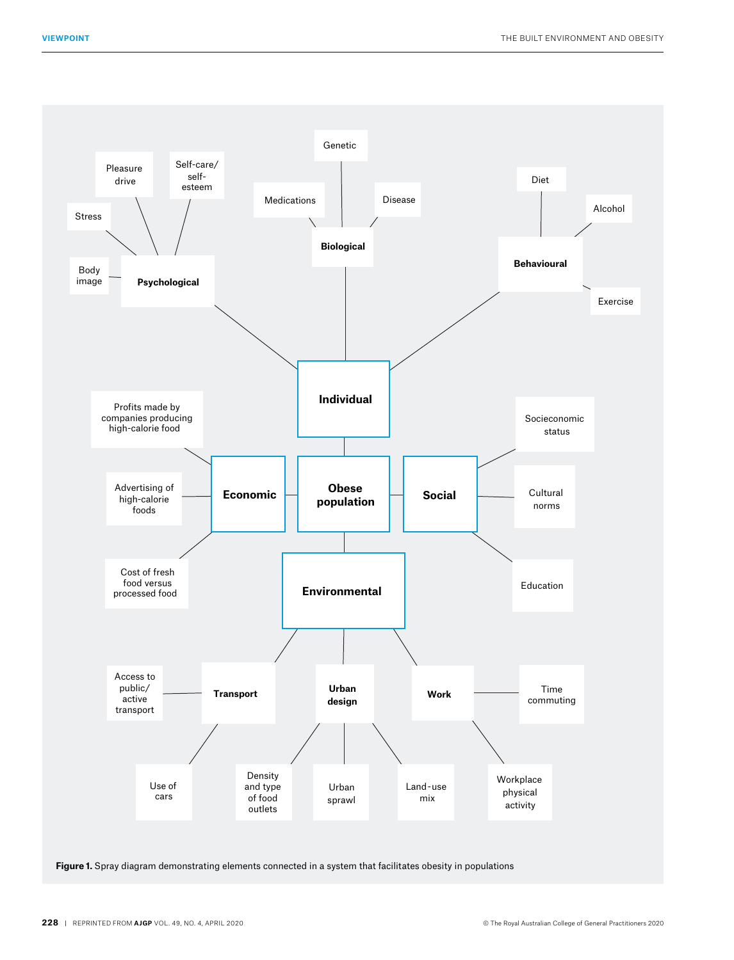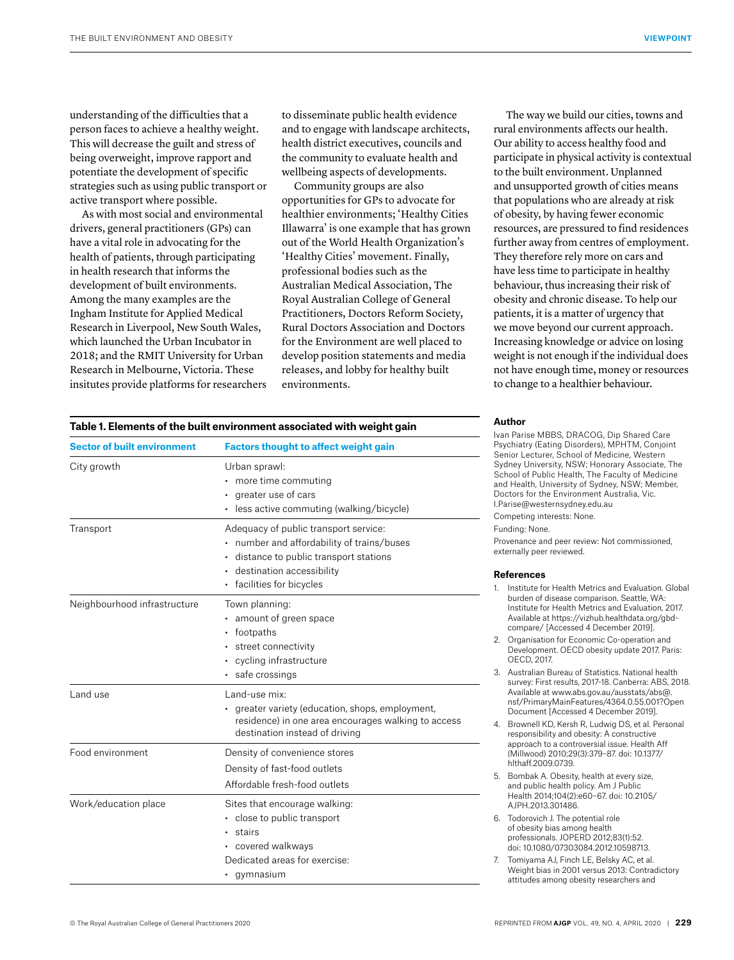understanding of the difficulties that a person faces to achieve a healthy weight. This will decrease the guilt and stress of being overweight, improve rapport and potentiate the development of specific strategies such as using public transport or active transport where possible.

As with most social and environmental drivers, general practitioners (GPs) can have a vital role in advocating for the health of patients, through participating in health research that informs the development of built environments. Among the many examples are the Ingham Institute for Applied Medical Research in Liverpool, New South Wales, which launched the Urban Incubator in 2018; and the RMIT University for Urban Research in Melbourne, Victoria. These insitutes provide platforms for researchers to disseminate public health evidence and to engage with landscape architects, health district executives, councils and the community to evaluate health and wellbeing aspects of developments.

Community groups are also opportunities for GPs to advocate for healthier environments; 'Healthy Cities Illawarra' is one example that has grown out of the World Health Organization's 'Healthy Cities' movement. Finally, professional bodies such as the Australian Medical Association, The Royal Australian College of General Practitioners, Doctors Reform Society, Rural Doctors Association and Doctors for the Environment are well placed to develop position statements and media releases, and lobby for healthy built environments.

The way we build our cities, towns and rural environments affects our health. Our ability to access healthy food and participate in physical activity is contextual to the built environment. Unplanned and unsupported growth of cities means that populations who are already at risk of obesity, by having fewer economic resources, are pressured to find residences further away from centres of employment. They therefore rely more on cars and have less time to participate in healthy behaviour, thus increasing their risk of obesity and chronic disease. To help our patients, it is a matter of urgency that we move beyond our current approach. Increasing knowledge or advice on losing weight is not enough if the individual does not have enough time, money or resources to change to a healthier behaviour.

| Table 1. Elements of the built environment associated with weight gain |                                                                                                                                                                                            |
|------------------------------------------------------------------------|--------------------------------------------------------------------------------------------------------------------------------------------------------------------------------------------|
| <b>Sector of built environment</b>                                     | <b>Factors thought to affect weight gain</b>                                                                                                                                               |
| City growth                                                            | Urban sprawl:<br>• more time commuting<br>· greater use of cars<br>· less active commuting (walking/bicycle)                                                                               |
| Transport                                                              | Adequacy of public transport service:<br>• number and affordability of trains/buses<br>· distance to public transport stations<br>· destination accessibility<br>· facilities for bicycles |
| Neighbourhood infrastructure                                           | Town planning:<br>• amount of green space<br>• footpaths<br>· street connectivity<br>• cycling infrastructure<br>· safe crossings                                                          |
| Land use                                                               | Land-use mix:<br>greater variety (education, shops, employment,<br>residence) in one area encourages walking to access<br>destination instead of driving                                   |
| Food environment                                                       | Density of convenience stores<br>Density of fast-food outlets<br>Affordable fresh-food outlets                                                                                             |
| Work/education place                                                   | Sites that encourage walking:<br>· close to public transport<br>stairs<br>• covered walkways<br>Dedicated areas for exercise:<br>· gymnasium                                               |

#### **Author**

Ivan Parise MBBS, DRACOG, Dip Shared Care Psychiatry (Eating Disorders), MPHTM, Conjoint Senior Lecturer, School of Medicine, Western Sydney University, NSW; Honorary Associate, The School of Public Health, The Faculty of Medicine and Health, University of Sydney, NSW; Member, Doctors for the Environment Australia, Vic. I.Parise@westernsydney.edu.au

Competing interests: None.

Funding: None.

Provenance and peer review: Not commissioned, externally peer reviewed.

#### **References**

- 1. Institute for Health Metrics and Evaluation. Global burden of disease comparison. Seattle, WA: Institute for Health Metrics and Evaluation, 2017. Available at [https://vizhub.healthdata.org/gbd](https://vizhub.healthdata.org/gbd-compare/)[compare/](https://vizhub.healthdata.org/gbd-compare/) [Accessed 4 December 2019].
- 2. Organisation for Economic Co-operation and Development. OECD obesity update 2017. Paris: OECD, 2017.
- 3. Australian Bureau of Statistics. National health survey: First results, 2017-18. Canberra: ABS, 2018. Available at [www.abs.gov.au/ausstats/abs@.](http://www.abs.gov.au/ausstats/abs@.nsf/PrimaryMainFeatures/4364.0.55.001?OpenDocument) [nsf/PrimaryMainFeatures/4364.0.55.001?Open](http://www.abs.gov.au/ausstats/abs@.nsf/PrimaryMainFeatures/4364.0.55.001?OpenDocument)  [Document](http://www.abs.gov.au/ausstats/abs@.nsf/PrimaryMainFeatures/4364.0.55.001?OpenDocument) [Accessed 4 December 2019].
- 4. Brownell KD, Kersh R, Ludwig DS, et al. Personal responsibility and obesity: A constructive approach to a controversial issue. Health Aff (Millwood) 2010;29(3):379–87. doi: 10.1377/ hlthaff.2009.0739.
- 5. Bombak A. Obesity, health at every size, and public health policy. Am J Public Health 2014;104(2):e60–67. doi: 10.2105/ AJPH.2013.301486.
- 6. Todorovich J. The potential role of obesity bias among health professionals. JOPERD 2012;83(1):52. doi: 10.1080/07303084.2012.10598713.
- 7. Tomiyama AJ, Finch LE, Belsky AC, et al. Weight bias in 2001 versus 2013: Contradictory attitudes among obesity researchers and